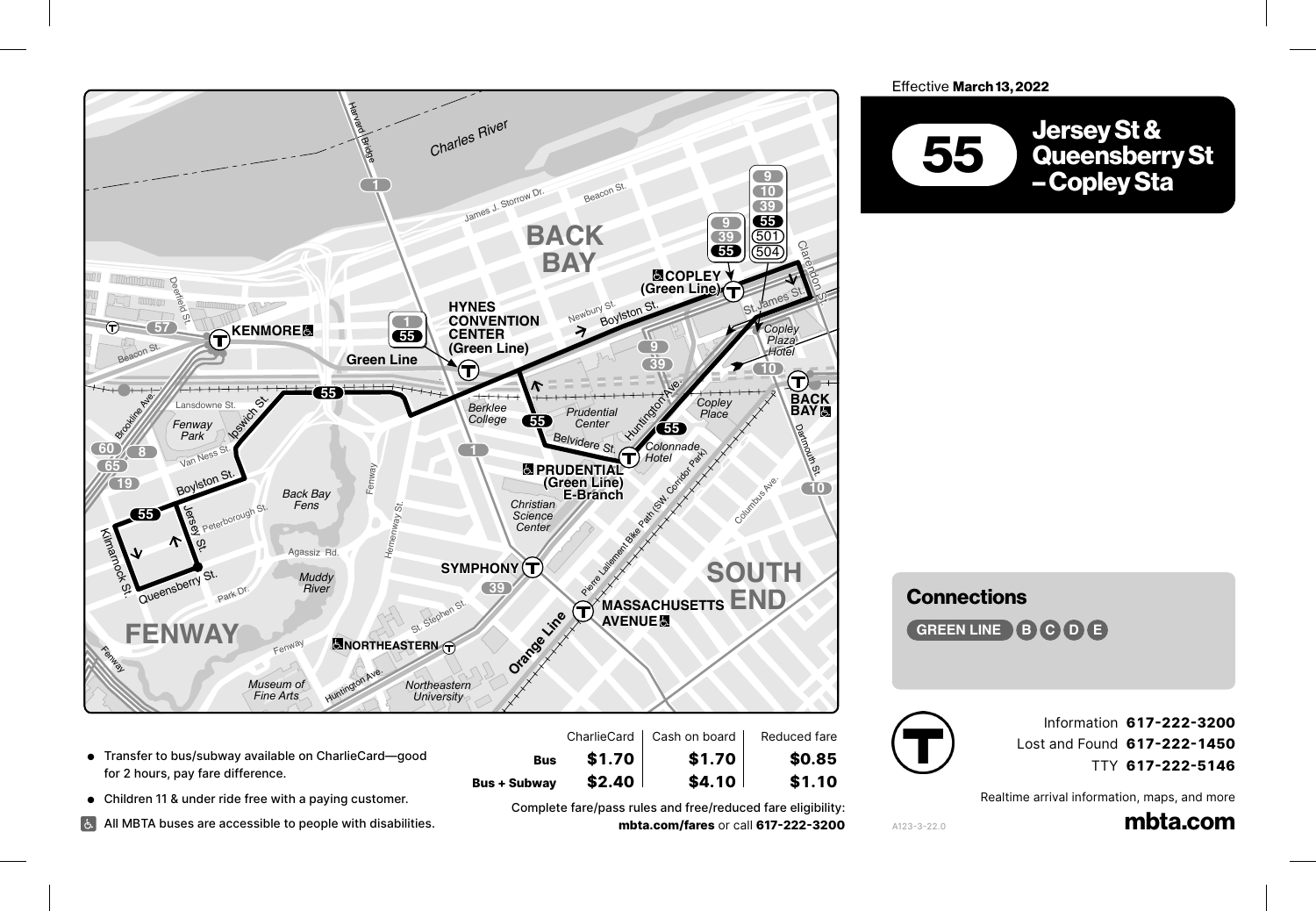

- Transfer to bus/subway available on CharlieCard—good for 2 hours, pay fare difference. *Mass. College*
- **Children 11 & under ride free with a paying customer.**<br>■ Children 11 & under ride free with a paying customer.

**BRIGHAM CIRCLE** 

Tremont St. (1989). The state of the state of the state of the state of the state of the state of the state of

Albany St.

 $\pm$ 

All MBTA buses are accessible to people with disabilities. **CT3** *Institute of Technology* **LONGWOOD** 

Complete fare/pass rules and free/reduced fare eligibility: **8 MASSACHUSETTS mbta.com/fares** or call **617-222-3200 1 AVENUE way**<br>iplete fare,  $\frac{1}{\sqrt{2}}$ 

 $$4.10$ 

Bus **\$1.70** \$1.70 \$0.85<br>Bus+Subway \$2.40 \$4.10 \$1.10

**43**

 $$2.40$ 

**Bus \$1.70 \$1.70 \$0.85**

 $$1.10$ 

**Effective March 13, 2022** 



*Center*

**Connections** 

Shawmut Ave.

**GREEN LINE B C D B** 

Malden St.



A123-3-22.0

E. Concord St.

 $\overline{1}$ 

Union Pk.

Information **617-222-3200** 1 Lost and Found **617-222-1450** 3 TTY **617-222-5146** Albany St. Wareham St.

Thayer St. Albany St.

Realtime arrival information, maps, and more

<sub>on, maps, and more<br>**mbta.com**</sub>